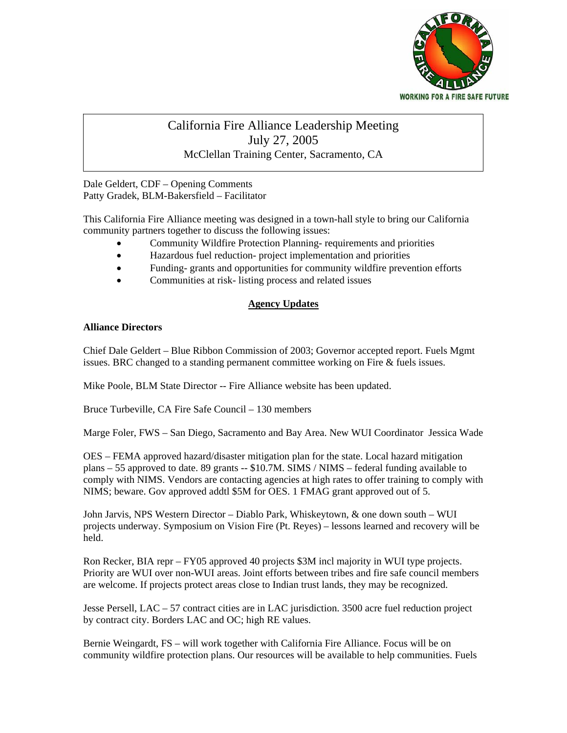

## California Fire Alliance Leadership Meeting meeting- started at 9:10 a.m. July 27, 2005 McClellan Training Center, Sacramento, CA

Dale Geldert, CDF – Opening Comments Patty Gradek, BLM-Bakersfield – Facilitator

This California Fire Alliance meeting was designed in a town-hall style to bring our California community partners together to discuss the following issues:

- Community Wildfire Protection Planning- requirements and priorities
- Hazardous fuel reduction- project implementation and priorities
- Funding- grants and opportunities for community wildfire prevention efforts
- Communities at risk- listing process and related issues

## **Agency Updates**

## **Alliance Directors**

Chief Dale Geldert – Blue Ribbon Commission of 2003; Governor accepted report. Fuels Mgmt issues. BRC changed to a standing permanent committee working on Fire & fuels issues.

Mike Poole, BLM State Director -- Fire Alliance website has been updated.

Bruce Turbeville, CA Fire Safe Council – 130 members

Marge Foler, FWS – San Diego, Sacramento and Bay Area. New WUI Coordinator Jessica Wade

OES – FEMA approved hazard/disaster mitigation plan for the state. Local hazard mitigation plans – 55 approved to date. 89 grants -- \$10.7M. SIMS / NIMS – federal funding available to comply with NIMS. Vendors are contacting agencies at high rates to offer training to comply with NIMS; beware. Gov approved addtl \$5M for OES. 1 FMAG grant approved out of 5.

John Jarvis, NPS Western Director – Diablo Park, Whiskeytown, & one down south – WUI projects underway. Symposium on Vision Fire (Pt. Reyes) – lessons learned and recovery will be held.

Ron Recker, BIA repr – FY05 approved 40 projects \$3M incl majority in WUI type projects. Priority are WUI over non-WUI areas. Joint efforts between tribes and fire safe council members are welcome. If projects protect areas close to Indian trust lands, they may be recognized.

Jesse Persell, LAC – 57 contract cities are in LAC jurisdiction. 3500 acre fuel reduction project by contract city. Borders LAC and OC; high RE values.

Bernie Weingardt, FS – will work together with California Fire Alliance. Focus will be on community wildfire protection plans. Our resources will be available to help communities. Fuels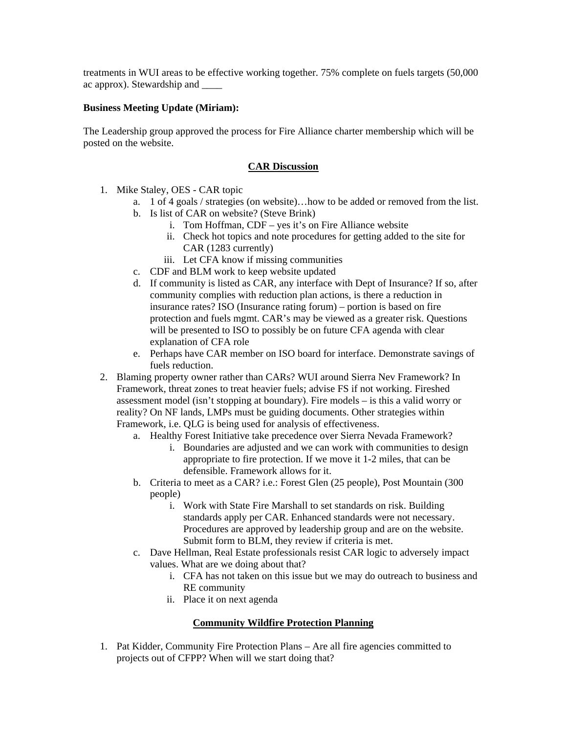treatments in WUI areas to be effective working together. 75% complete on fuels targets (50,000 ac approx). Stewardship and \_\_\_\_

## **Business Meeting Update (Miriam):**

The Leadership group approved the process for Fire Alliance charter membership which will be posted on the website.

#### **CAR Discussion**

- 1. Mike Staley, OES CAR topic
	- a. 1 of 4 goals / strategies (on website)…how to be added or removed from the list.
	- b. Is list of CAR on website? (Steve Brink)
		- i. Tom Hoffman, CDF yes it's on Fire Alliance website
		- ii. Check hot topics and note procedures for getting added to the site for CAR (1283 currently)
		- iii. Let CFA know if missing communities
	- c. CDF and BLM work to keep website updated
	- d. If community is listed as CAR, any interface with Dept of Insurance? If so, after community complies with reduction plan actions, is there a reduction in insurance rates? ISO (Insurance rating forum) – portion is based on fire protection and fuels mgmt. CAR's may be viewed as a greater risk. Questions will be presented to ISO to possibly be on future CFA agenda with clear explanation of CFA role
	- e. Perhaps have CAR member on ISO board for interface. Demonstrate savings of fuels reduction.
- 2. Blaming property owner rather than CARs? WUI around Sierra Nev Framework? In Framework, threat zones to treat heavier fuels; advise FS if not working. Fireshed assessment model (isn't stopping at boundary). Fire models – is this a valid worry or reality? On NF lands, LMPs must be guiding documents. Other strategies within Framework, i.e. QLG is being used for analysis of effectiveness.
	- a. Healthy Forest Initiative take precedence over Sierra Nevada Framework?
		- i. Boundaries are adjusted and we can work with communities to design appropriate to fire protection. If we move it 1-2 miles, that can be defensible. Framework allows for it.
	- b. Criteria to meet as a CAR? i.e.: Forest Glen (25 people), Post Mountain (300 people)
		- i. Work with State Fire Marshall to set standards on risk. Building standards apply per CAR. Enhanced standards were not necessary. Procedures are approved by leadership group and are on the website. Submit form to BLM, they review if criteria is met.
	- c. Dave Hellman, Real Estate professionals resist CAR logic to adversely impact values. What are we doing about that?
		- i. CFA has not taken on this issue but we may do outreach to business and RE community
		- ii. Place it on next agenda

# **Community Wildfire Protection Planning**

1. Pat Kidder, Community Fire Protection Plans – Are all fire agencies committed to projects out of CFPP? When will we start doing that?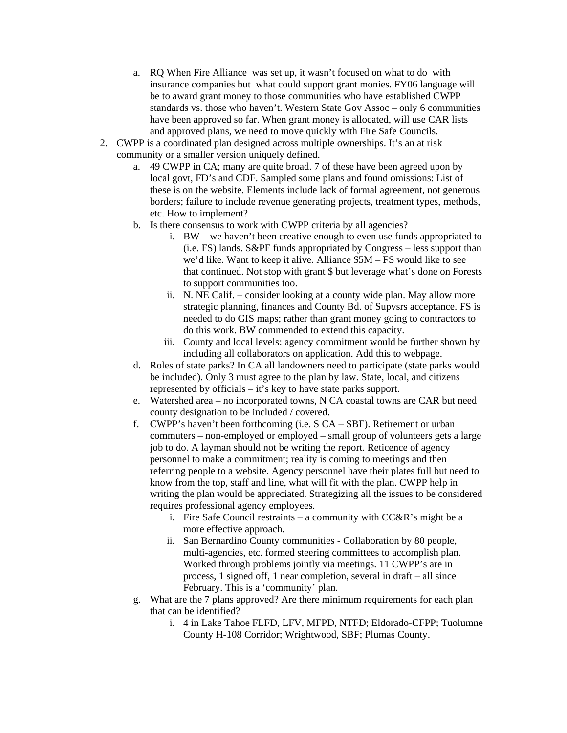- a. RQ When Fire Alliance was set up, it wasn't focused on what to do with insurance companies but what could support grant monies. FY06 language will be to award grant money to those communities who have established CWPP standards vs. those who haven't. Western State Gov Assoc – only 6 communities have been approved so far. When grant money is allocated, will use CAR lists and approved plans, we need to move quickly with Fire Safe Councils.
- 2. CWPP is a coordinated plan designed across multiple ownerships. It's an at risk community or a smaller version uniquely defined.
	- a. 49 CWPP in CA; many are quite broad. 7 of these have been agreed upon by local govt, FD's and CDF. Sampled some plans and found omissions: List of these is on the website. Elements include lack of formal agreement, not generous borders; failure to include revenue generating projects, treatment types, methods, etc. How to implement?
	- b. Is there consensus to work with CWPP criteria by all agencies?
		- i. BW we haven't been creative enough to even use funds appropriated to (i.e. FS) lands. S&PF funds appropriated by Congress – less support than we'd like. Want to keep it alive. Alliance \$5M – FS would like to see that continued. Not stop with grant \$ but leverage what's done on Forests to support communities too.
		- ii. N. NE Calif. consider looking at a county wide plan. May allow more strategic planning, finances and County Bd. of Supvsrs acceptance. FS is needed to do GIS maps; rather than grant money going to contractors to do this work. BW commended to extend this capacity.
		- iii. County and local levels: agency commitment would be further shown by including all collaborators on application. Add this to webpage.
	- d. Roles of state parks? In CA all landowners need to participate (state parks would be included). Only 3 must agree to the plan by law. State, local, and citizens represented by officials – it's key to have state parks support.
	- e. Watershed area no incorporated towns, N CA coastal towns are CAR but need county designation to be included / covered.
	- f. CWPP's haven't been forthcoming (i.e. S CA SBF). Retirement or urban commuters – non-employed or employed – small group of volunteers gets a large job to do. A layman should not be writing the report. Reticence of agency personnel to make a commitment; reality is coming to meetings and then referring people to a website. Agency personnel have their plates full but need to know from the top, staff and line, what will fit with the plan. CWPP help in writing the plan would be appreciated. Strategizing all the issues to be considered requires professional agency employees.
		- i. Fire Safe Council restraints a community with  $CC&R$ 's might be a more effective approach.
		- ii. San Bernardino County communities Collaboration by 80 people, multi-agencies, etc. formed steering committees to accomplish plan. Worked through problems jointly via meetings. 11 CWPP's are in process, 1 signed off, 1 near completion, several in draft – all since February. This is a 'community' plan.
	- g. What are the 7 plans approved? Are there minimum requirements for each plan that can be identified?
		- i. 4 in Lake Tahoe FLFD, LFV, MFPD, NTFD; Eldorado-CFPP; Tuolumne County H-108 Corridor; Wrightwood, SBF; Plumas County.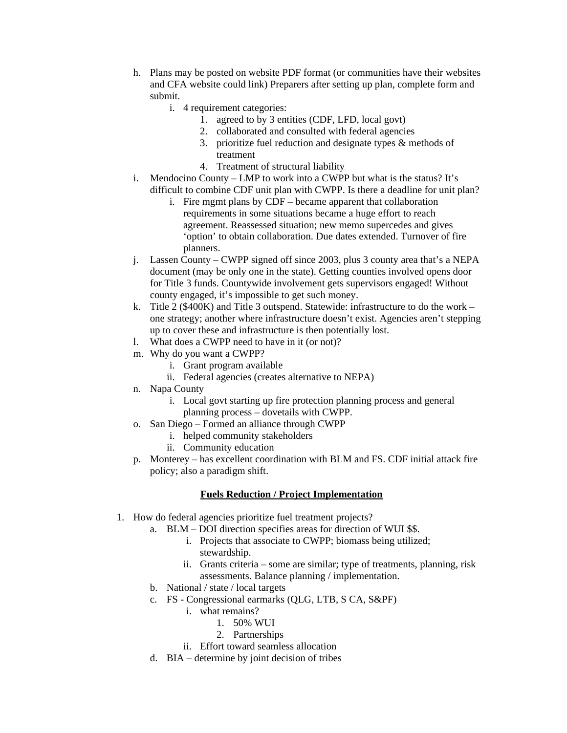- h. Plans may be posted on website PDF format (or communities have their websites and CFA website could link) Preparers after setting up plan, complete form and submit.
	- i. 4 requirement categories:
		- 1. agreed to by 3 entities (CDF, LFD, local govt)
		- 2. collaborated and consulted with federal agencies
		- 3. prioritize fuel reduction and designate types & methods of treatment
		- 4. Treatment of structural liability
- i. Mendocino County LMP to work into a CWPP but what is the status? It's difficult to combine CDF unit plan with CWPP. Is there a deadline for unit plan?
	- i. Fire mgmt plans by CDF became apparent that collaboration requirements in some situations became a huge effort to reach agreement. Reassessed situation; new memo supercedes and gives 'option' to obtain collaboration. Due dates extended. Turnover of fire planners.
- j. Lassen County CWPP signed off since 2003, plus 3 county area that's a NEPA document (may be only one in the state). Getting counties involved opens door for Title 3 funds. Countywide involvement gets supervisors engaged! Without county engaged, it's impossible to get such money.
- k. Title 2 (\$400K) and Title 3 outspend. Statewide: infrastructure to do the work one strategy; another where infrastructure doesn't exist. Agencies aren't stepping up to cover these and infrastructure is then potentially lost.
- l. What does a CWPP need to have in it (or not)?
- m. Why do you want a CWPP?
	- i. Grant program available
	- ii. Federal agencies (creates alternative to NEPA)
- n. Napa County
	- i. Local govt starting up fire protection planning process and general planning process – dovetails with CWPP.
- o. San Diego Formed an alliance through CWPP
	- i. helped community stakeholders
	- ii. Community education
- p. Monterey has excellent coordination with BLM and FS. CDF initial attack fire policy; also a paradigm shift.

# **Fuels Reduction / Project Implementation**

- 1. How do federal agencies prioritize fuel treatment projects?
	- a. BLM DOI direction specifies areas for direction of WUI \$\$.
		- i. Projects that associate to CWPP; biomass being utilized; stewardship.
		- ii. Grants criteria some are similar; type of treatments, planning, risk assessments. Balance planning / implementation.
	- b. National / state / local targets
	- c. FS Congressional earmarks (QLG, LTB, S CA, S&PF)
		- i. what remains?
			- 1. 50% WUI
			- 2. Partnerships
		- ii. Effort toward seamless allocation
	- d. BIA determine by joint decision of tribes